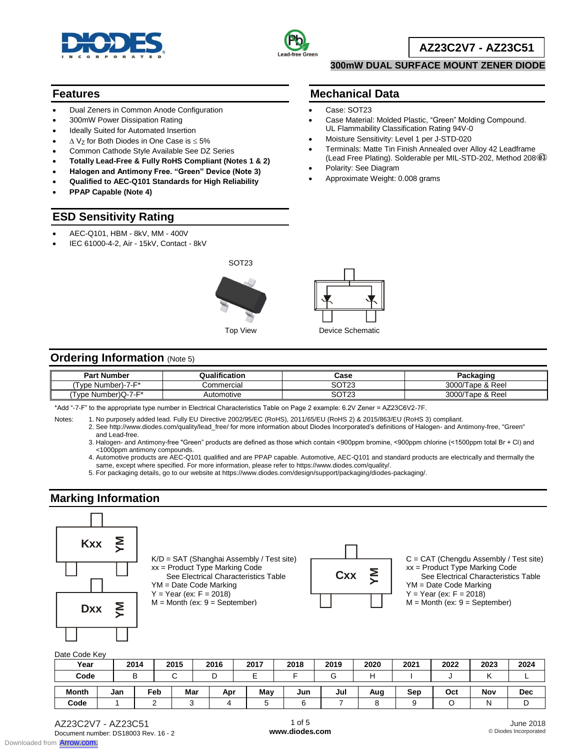



## **AZ23C2V7 - AZ23C51**

#### **300mW DUAL SURFACE MOUNT ZENER DIODE**

Case Material: Molded Plastic, "Green" Molding Compound.

 Terminals: Matte Tin Finish Annealed over Alloy 42 Leadframe (Lead Free Plating). Solderable per MIL-STD-202, Method 208

UL Flammability Classification Rating 94V-0 Moisture Sensitivity: Level 1 per J-STD-020

#### **Features**

- Dual Zeners in Common Anode Configuration
- 300mW Power Dissipation Rating
- Ideally Suited for Automated Insertion
- $\triangle$  Vz for Both Diodes in One Case is  $\leq$  5%
- Common Cathode Style Available See DZ Series
- **Totally Lead-Free & Fully RoHS Compliant (Notes 1 & 2)**
- **Halogen and Antimony Free. "Green" Device (Note 3)**
- **Qualified to AEC-Q101 Standards for High Reliability**
- **PPAP Capable (Note 4)**

### **ESD Sensitivity Rating**

- AEC-Q101, HBM 8kV, MM 400V
- IEC 61000-4-2, Air 15kV, Contact 8kV





**Mechanical Data** Case: SOT23

Polarity: See Diagram

Approximate Weight: 0.008 grams

### **Ordering Information (Note 5)**

| <b>Part Number</b>  | Qualification | Case                  | Packaɑinɑ             |
|---------------------|---------------|-----------------------|-----------------------|
| Number)-7-F*<br>vne | Commercial    | 00T00<br>د ۱ د<br>س   | 3000/T<br>Tape & Reel |
| Tvpe Number)Q-7-F*  | Automotive    | 00000<br>ں 2 ا<br>JU. | 3000/T<br>Tape & Reel |

\*Add "-7-F" to the appropriate type number in Electrical Characteristics Table on Page 2 example: 6.2V Zener = AZ23C6V2-7F.

Notes: 1. No purposely added lead. Fully EU Directive 2002/95/EC (RoHS), 2011/65/EU (RoHS 2) & 2015/863/EU (RoHS 3) compliant.

2. See http://www.diodes.com/quality/lead\_free/ for more information about Diodes Incorporated's definitions of Halogen- and Antimony-free, "Green" and Lead-free.

3. Halogen- and Antimony-free "Green" products are defined as those which contain <900ppm bromine, <900ppm chlorine (<1500ppm total Br + Cl) and <1000ppm antimony compounds.

4. Automotive products are AEC-Q101 qualified and are PPAP capable. Automotive, AEC-Q101 and standard products are electrically and thermally the same, except where specified. For more information, please refer to https://www.diodes.com/quality/.

5. For packaging details, go to our website at https://www.diodes.com/design/support/packaging/diodes-packaging/.

### **Marking Information**



K/D = SAT (Shanghai Assembly / Test site) xx = Product Type Marking Code See Electrical Characteristics Table

YM = Date Code Marking

 $Y = Year (ex: F = 2018)$  $M =$  Month (ex:  $9 =$  September)



C = CAT (Chengdu Assembly / Test site) xx = Product Type Marking Code See Electrical Characteristics Table YM = Date Code Marking  $Y = Year (ex: F = 2018)$  $M =$  Month (ex:  $9 =$  September)

#### Date Code Key

| Year         |     | 2014 | 2015        | 2016 | 2017 | 2018 | 2019   | 2020 | 2021 | 2022 | 2023 | 2024       |
|--------------|-----|------|-------------|------|------|------|--------|------|------|------|------|------------|
| Code         |     | D    | $\sim$<br>ີ | ◡    |      |      | ⌒<br>u |      |      |      |      |            |
| <b>Month</b> | Jan | Feb  | Mar         | Apr  | May  | Jun  | Jul    | Aug  | Sep  | Oct  | Nov  | <b>Dec</b> |
| Code         |     |      | ບ           | 4    |      |      |        |      |      |      | Ν    |            |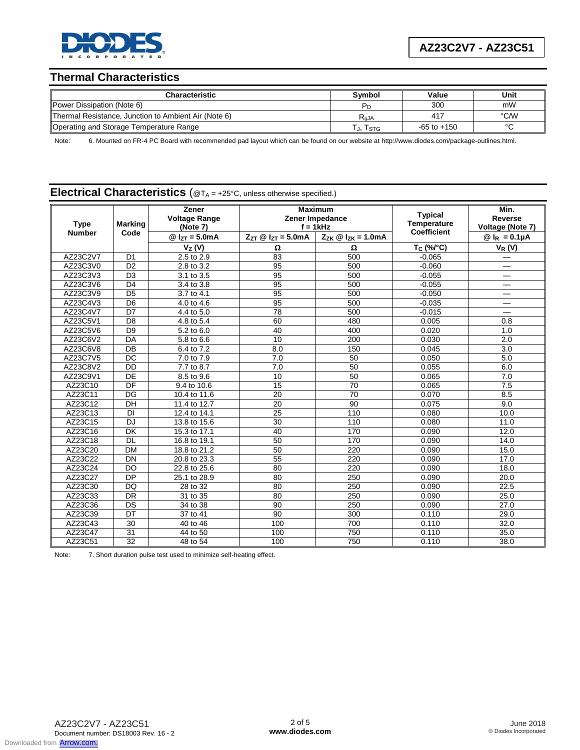

**AZ23C2V7 - AZ23C51**

### **Thermal Characteristics**

| <b>Characteristic</b>                                | Symbol    | Value           | Unit   |
|------------------------------------------------------|-----------|-----------------|--------|
| Power Dissipation (Note 6)                           | Pг        | 300             | mW     |
| Thermal Resistance, Junction to Ambient Air (Note 6) | $R_{AJA}$ | 417             | °C/W   |
| Operating and Storage Temperature Range              | T., Tstg  | $-65$ to $+150$ | $\sim$ |

Note: 6. Mounted on FR-4 PC Board with recommended pad layout which can be found on our website at http://www.diodes.com/package-outlines.html.

### **Electrical Characteristics** (@T<sub>A</sub> = +25°C, unless otherwise specified.)

| <b>Type</b><br><b>Number</b> | <b>Marking</b><br>Code | Zener<br><b>Voltage Range</b><br>(Note 7) | <b>Maximum</b><br>Zener Impedance<br>$f = 1$ kHz |                                 | <b>Typical</b><br><b>Temperature</b><br><b>Coefficient</b> | Min.<br>Reverse<br>Voltage (Note 7) |
|------------------------------|------------------------|-------------------------------------------|--------------------------------------------------|---------------------------------|------------------------------------------------------------|-------------------------------------|
|                              |                        | $@I_{ZT} = 5.0mA$                         |                                                  | $Z_{ZK} \otimes I_{ZK} = 1.0mA$ |                                                            | $@I_R = 0.1 \mu A$                  |
|                              |                        | $V_Z(V)$                                  | Ω                                                | Ω                               | $T_C$ (%/ $^{\circ}$ C)                                    | $V_R(V)$                            |
| AZ23C2V7                     | D <sub>1</sub>         | 2.5 to 2.9                                | 83                                               | 500                             | $-0.065$                                                   |                                     |
| AZ23C3V0                     | D <sub>2</sub>         | 2.8 to 3.2                                | 95                                               | 500                             | $-0.060$                                                   |                                     |
| AZ23C3V3                     | D <sub>3</sub>         | 3.1 to 3.5                                | $\overline{95}$                                  | 500                             | $-0.055$                                                   |                                     |
| AZ23C3V6                     | D <sub>4</sub>         | 3.4 to 3.8                                | 95                                               | 500                             | $-0.055$                                                   |                                     |
| AZ23C3V9                     | D <sub>5</sub>         | 3.7 to 4.1                                | 95                                               | 500                             | $-0.050$                                                   |                                     |
| AZ23C4V3                     | D <sub>6</sub>         | 4.0 to 4.6                                | 95                                               | 500                             | $-0.035$                                                   | $\overline{\phantom{0}}$            |
| AZ23C4V7                     | $\overline{D7}$        | 4.4 to 5.0                                | $\overline{78}$                                  | 500                             | $-0.015$                                                   |                                     |
| AZ23C5V1                     | D <sub>8</sub>         | 4.8 to 5.4                                | 60                                               | 480                             | 0.005                                                      | 0.8                                 |
| AZ23C5V6                     | D <sub>9</sub>         | 5.2 to 6.0                                | 40                                               | 400                             | 0.020                                                      | 1.0                                 |
| AZ23C6V2                     | DA                     | 5.8 to 6.6                                | 10                                               | 200                             | 0.030                                                      | 2.0                                 |
| AZ23C6V8                     | DB                     | 6.4 to 7.2                                | 8.0                                              | 150                             | 0.045                                                      | 3.0                                 |
| AZ23C7V5                     | <b>DC</b>              | 7.0 to 7.9                                | $\overline{7.0}$                                 | 50                              | 0.050                                                      | 5.0                                 |
| AZ23C8V2                     | DD                     | 7.7 to 8.7                                | 7.0                                              | 50                              | 0.055                                                      | 6.0                                 |
| AZ23C9V1                     | DE                     | 8.5 to 9.6                                | 10                                               | $\overline{50}$                 | 0.065                                                      | 7.0                                 |
| AZ23C10                      | DF                     | 9.4 to 10.6                               | 15                                               | $\overline{70}$                 | 0.065                                                      | 7.5                                 |
| AZ23C11                      | DG                     | 10.4 to 11.6                              | 20                                               | $\overline{70}$                 | 0.070                                                      | 8.5                                 |
| AZ23C12                      | DH                     | 11.4 to 12.7                              | 20                                               | $\overline{90}$                 | 0.075                                                      | 9.0                                 |
| AZ23C13                      | <b>DI</b>              | 12.4 to 14.1                              | 25                                               | 110                             | 0.080                                                      | 10.0                                |
| AZ23C15                      | <b>DJ</b>              | 13.8 to 15.6                              | 30                                               | 110                             | 0.080                                                      | 11.0                                |
| AZ23C16                      | <b>DK</b>              | 15.3 to 17.1                              | 40                                               | 170                             | 0.090                                                      | 12.0                                |
| AZ23C18                      | <b>DL</b>              | 16.8 to 19.1                              | 50                                               | 170                             | 0.090                                                      | 14.0                                |
| AZ23C20                      | <b>DM</b>              | 18.8 to 21.2                              | 50                                               | 220                             | 0.090                                                      | 15.0                                |
| AZ23C22                      | <b>DN</b>              | 20.8 to 23.3                              | 55                                               | 220                             | 0.090                                                      | 17.0                                |
| AZ23C24                      | <b>DO</b>              | 22.8 to 25.6                              | 80                                               | 220                             | 0.090                                                      | 18.0                                |
| AZ23C27                      | <b>DP</b>              | 25.1 to 28.9                              | 80                                               | 250                             | 0.090                                                      | 20.0                                |
| AZ23C30                      | <b>DQ</b>              | 28 to 32                                  | 80                                               | 250                             | 0.090                                                      | 22.5                                |
| AZ23C33                      | <b>DR</b>              | 31 to 35                                  | 80                                               | 250                             | 0.090                                                      | 25.0                                |
| AZ23C36                      | DS                     | 34 to 38                                  | 90                                               | 250                             | 0.090                                                      | 27.0                                |
| AZ23C39                      | DT                     | 37 to 41                                  | 90                                               | 300                             | 0.110                                                      | 29.0                                |
| AZ23C43                      | 30                     | 40 to 46                                  | 100                                              | 700                             | 0.110                                                      | 32.0                                |
| AZ23C47                      | 31                     | 44 to 50                                  | 100                                              | 750                             | 0.110                                                      | 35.0                                |
| AZ23C51                      | $\overline{32}$        | 48 to 54                                  | 100                                              | 750                             | 0.110                                                      | 38.0                                |

Note: 7. Short duration pulse test used to minimize self-heating effect.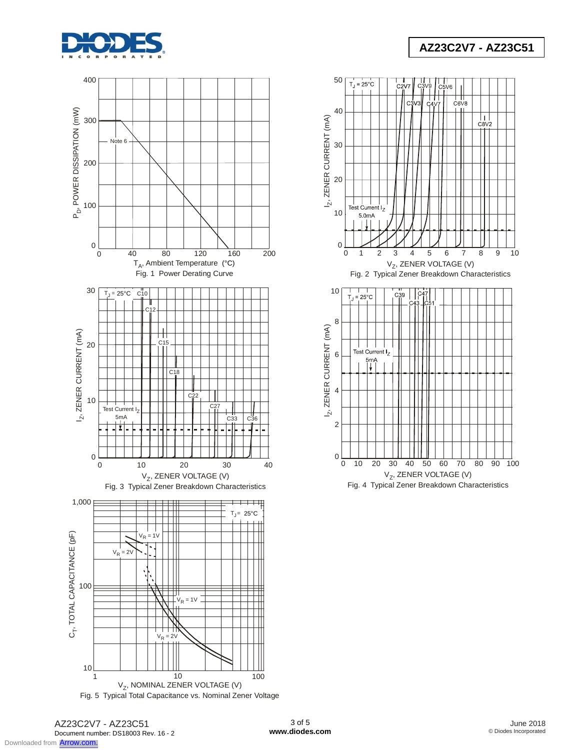







# **AZ23C2V7 - AZ23C51**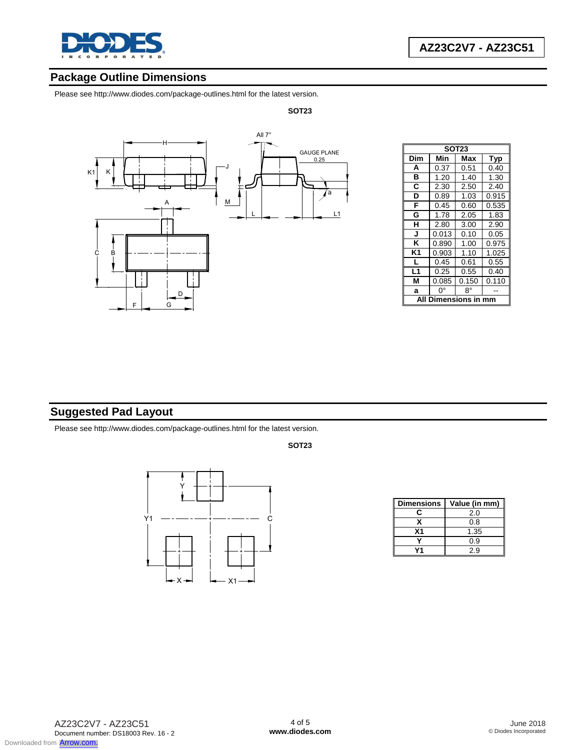

## **Package Outline Dimensions**

Please see http://www.diodes.com/package-outlines.html for the latest version.



| SOT <sub>23</sub> |                     |       |       |  |  |  |
|-------------------|---------------------|-------|-------|--|--|--|
| Dim               | Min                 | Max   | Typ   |  |  |  |
| A                 | 0.37                | 0.51  | 0.40  |  |  |  |
| в                 | 1.20                | 1.40  | 1.30  |  |  |  |
| C                 | 2.30                | 2.50  | 2.40  |  |  |  |
| D                 | 0.89                | 1.03  | 0.915 |  |  |  |
| F                 | 0.45                | 0.60  | 0.535 |  |  |  |
| G                 | 1.78                | 2.05  | 1.83  |  |  |  |
| н                 | 2.80                | 3.00  | 2.90  |  |  |  |
| J                 | 0.013               | 0.10  | 0.05  |  |  |  |
| Κ                 | 0.890               | 1.00  | 0.975 |  |  |  |
| K <sub>1</sub>    | 0.903               | 1.10  | 1.025 |  |  |  |
| L                 | 0.45                | 0.61  | 0.55  |  |  |  |
| L <sub>1</sub>    | 0.25                | 0.55  | 0.40  |  |  |  |
| М                 | 0.085               | 0.150 | 0.110 |  |  |  |
| a                 | ŋ۰                  | 8°    |       |  |  |  |
| ΔIΙ               | <b>Dimensions i</b> |       |       |  |  |  |

# **Suggested Pad Layout**

Please see http://www.diodes.com/package-outlines.html for the latest version.



| <b>Dimensions</b> | Value (in mm) |
|-------------------|---------------|
| C.                | 2.0           |
|                   | 0.8           |
| Χ1                | 1.35          |
|                   | 0.9           |
|                   | 2.9           |

#### **SOT23**

**SOT23**